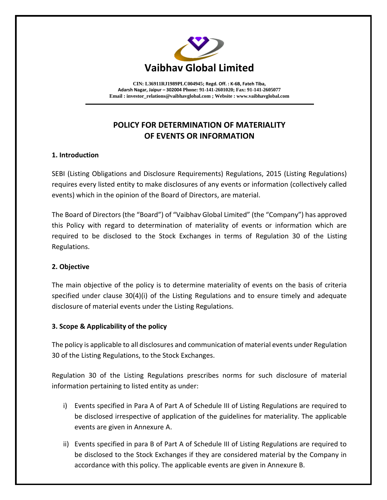

**CIN: L36911RJ1989PLC004945; Regd. Off. : K-6B, Fateh Tiba, Adarsh Nagar, Jaipur – 302004 Phone: 91-141-2601020; Fax: 91-141-2605077 Email [: investor\\_relations@vaibhavglobal.com](mailto:vgl@vaibhavglobal.com) ; Website [: www.vaibhavglobal.com](http://www.vaibhavglobal.com/)**

# **POLICY FOR DETERMINATION OF MATERIALITY OF EVENTS OR INFORMATION**

## **1. Introduction**

SEBI (Listing Obligations and Disclosure Requirements) Regulations, 2015 (Listing Regulations) requires every listed entity to make disclosures of any events or information (collectively called events) which in the opinion of the Board of Directors, are material.

The Board of Directors (the "Board") of "Vaibhav Global Limited" (the "Company") has approved this Policy with regard to determination of materiality of events or information which are required to be disclosed to the Stock Exchanges in terms of Regulation 30 of the Listing Regulations.

# **2. Objective**

The main objective of the policy is to determine materiality of events on the basis of criteria specified under clause 30(4)(i) of the Listing Regulations and to ensure timely and adequate disclosure of material events under the Listing Regulations.

## **3. Scope & Applicability of the policy**

The policy is applicable to all disclosures and communication of material events under Regulation 30 of the Listing Regulations, to the Stock Exchanges.

Regulation 30 of the Listing Regulations prescribes norms for such disclosure of material information pertaining to listed entity as under:

- i) Events specified in Para A of Part A of Schedule III of Listing Regulations are required to be disclosed irrespective of application of the guidelines for materiality. The applicable events are given in Annexure A.
- ii) Events specified in para B of Part A of Schedule III of Listing Regulations are required to be disclosed to the Stock Exchanges if they are considered material by the Company in accordance with this policy. The applicable events are given in Annexure B.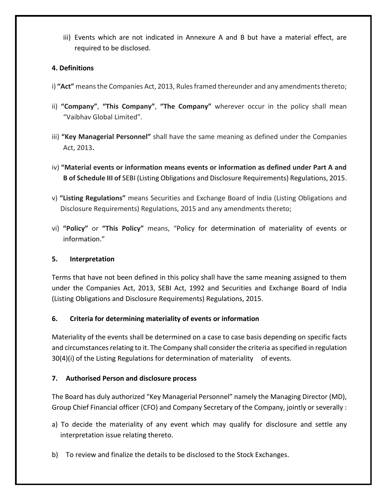iii) Events which are not indicated in Annexure A and B but have a material effect, are required to be disclosed.

# **4. Definitions**

- i) **"Act"** means the Companies Act, 2013, Rules framed thereunder and any amendments thereto;
- ii) **"Company"**, **"This Company"**, **"The Company"** wherever occur in the policy shall mean "Vaibhav Global Limited".
- iii) **"Key Managerial Personnel"** shall have the same meaning as defined under the Companies Act, 2013**.**
- iv) **"Material events or information means events or information as defined under Part A and B of Schedule III of** SEBI (Listing Obligations and Disclosure Requirements) Regulations, 2015.
- v) **"Listing Regulations"** means Securities and Exchange Board of India (Listing Obligations and Disclosure Requirements) Regulations, 2015 and any amendments thereto;
- vi) **"Policy"** or **"This Policy"** means, "Policy for determination of materiality of events or information."

# **5. Interpretation**

Terms that have not been defined in this policy shall have the same meaning assigned to them under the Companies Act, 2013, SEBI Act, 1992 and Securities and Exchange Board of India (Listing Obligations and Disclosure Requirements) Regulations, 2015.

# **6. Criteria for determining materiality of events or information**

Materiality of the events shall be determined on a case to case basis depending on specific facts and circumstances relating to it. The Company shall consider the criteria as specified in regulation 30(4)(i) of the Listing Regulations for determination of materiality of events.

# **7. Authorised Person and disclosure process**

The Board has duly authorized "Key Managerial Personnel" namely the Managing Director (MD), Group Chief Financial officer (CFO) and Company Secretary of the Company, jointly or severally :

- a) To decide the materiality of any event which may qualify for disclosure and settle any interpretation issue relating thereto.
- b) To review and finalize the details to be disclosed to the Stock Exchanges.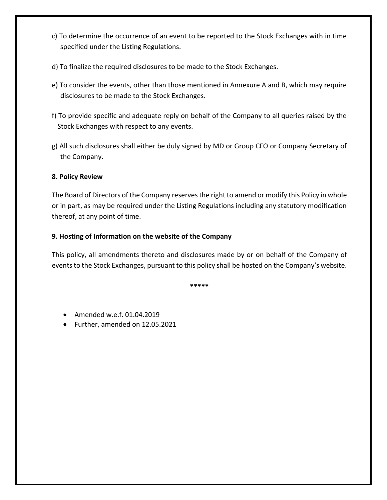- c) To determine the occurrence of an event to be reported to the Stock Exchanges with in time specified under the Listing Regulations.
- d) To finalize the required disclosures to be made to the Stock Exchanges.
- e) To consider the events, other than those mentioned in Annexure A and B, which may require disclosures to be made to the Stock Exchanges.
- f) To provide specific and adequate reply on behalf of the Company to all queries raised by the Stock Exchanges with respect to any events.
- g) All such disclosures shall either be duly signed by MD or Group CFO or Company Secretary of the Company.

## **8. Policy Review**

The Board of Directors of the Company reserves the right to amend or modify this Policy in whole or in part, as may be required under the Listing Regulations including any statutory modification thereof, at any point of time.

## **9. Hosting of Information on the website of the Company**

This policy, all amendments thereto and disclosures made by or on behalf of the Company of events to the Stock Exchanges, pursuant to this policy shall be hosted on the Company's website.

**\*\*\*\*\***

- Amended w.e.f. 01.04.2019
- Further, amended on 12.05.2021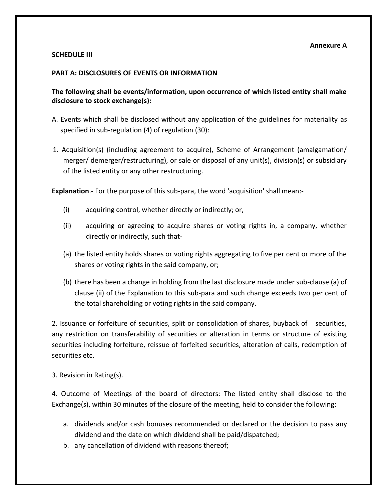### **Annexure A**

### **SCHEDULE III**

### **PART A: DISCLOSURES OF EVENTS OR INFORMATION**

**The following shall be events/information, upon occurrence of which listed entity shall make disclosure to stock exchange(s):** 

- A. Events which shall be disclosed without any application of the guidelines for materiality as specified in sub-regulation (4) of regulation (30):
- 1. Acquisition(s) (including agreement to acquire), Scheme of Arrangement (amalgamation/ merger/ demerger/restructuring), or sale or disposal of any unit(s), division(s) or subsidiary of the listed entity or any other restructuring.

**Explanation**.- For the purpose of this sub-para, the word 'acquisition' shall mean:-

- (i) acquiring control, whether directly or indirectly; or,
- (ii) acquiring or agreeing to acquire shares or voting rights in, a company, whether directly or indirectly, such that-
- (a) the listed entity holds shares or voting rights aggregating to five per cent or more of the shares or voting rights in the said company, or;
- (b) there has been a change in holding from the last disclosure made under sub-clause (a) of clause (ii) of the Explanation to this sub-para and such change exceeds two per cent of the total shareholding or voting rights in the said company.

2. Issuance or forfeiture of securities, split or consolidation of shares, buyback of securities, any restriction on transferability of securities or alteration in terms or structure of existing securities including forfeiture, reissue of forfeited securities, alteration of calls, redemption of securities etc.

3. Revision in Rating(s).

4. Outcome of Meetings of the board of directors: The listed entity shall disclose to the Exchange(s), within 30 minutes of the closure of the meeting, held to consider the following:

- a. dividends and/or cash bonuses recommended or declared or the decision to pass any dividend and the date on which dividend shall be paid/dispatched;
- b. any cancellation of dividend with reasons thereof;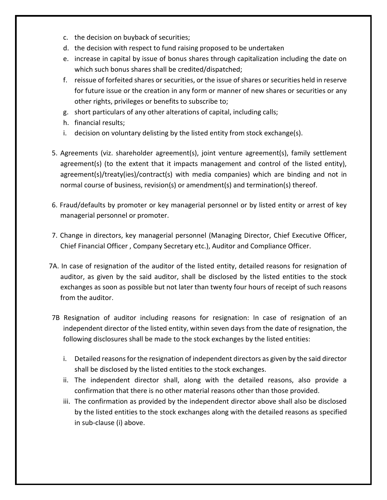- c. the decision on buyback of securities;
- d. the decision with respect to fund raising proposed to be undertaken
- e. increase in capital by issue of bonus shares through capitalization including the date on which such bonus shares shall be credited/dispatched;
- f. reissue of forfeited shares or securities, or the issue of shares or securities held in reserve for future issue or the creation in any form or manner of new shares or securities or any other rights, privileges or benefits to subscribe to;
- g. short particulars of any other alterations of capital, including calls;
- h. financial results;
- i. decision on voluntary delisting by the listed entity from stock exchange(s).
- 5. Agreements (viz. shareholder agreement(s), joint venture agreement(s), family settlement agreement(s) (to the extent that it impacts management and control of the listed entity), agreement(s)/treaty(ies)/contract(s) with media companies) which are binding and not in normal course of business, revision(s) or amendment(s) and termination(s) thereof.
- 6. Fraud/defaults by promoter or key managerial personnel or by listed entity or arrest of key managerial personnel or promoter.
- 7. Change in directors, key managerial personnel (Managing Director, Chief Executive Officer, Chief Financial Officer , Company Secretary etc.), Auditor and Compliance Officer.
- 7A. In case of resignation of the auditor of the listed entity, detailed reasons for resignation of auditor, as given by the said auditor, shall be disclosed by the listed entities to the stock exchanges as soon as possible but not later than twenty four hours of receipt of such reasons from the auditor.
- 7B Resignation of auditor including reasons for resignation: In case of resignation of an independent director of the listed entity, within seven days from the date of resignation, the following disclosures shall be made to the stock exchanges by the listed entities:
	- i. Detailed reasons for the resignation of independent directors as given by the said director shall be disclosed by the listed entities to the stock exchanges.
	- ii. The independent director shall, along with the detailed reasons, also provide a confirmation that there is no other material reasons other than those provided.
	- iii. The confirmation as provided by the independent director above shall also be disclosed by the listed entities to the stock exchanges along with the detailed reasons as specified in sub-clause (i) above.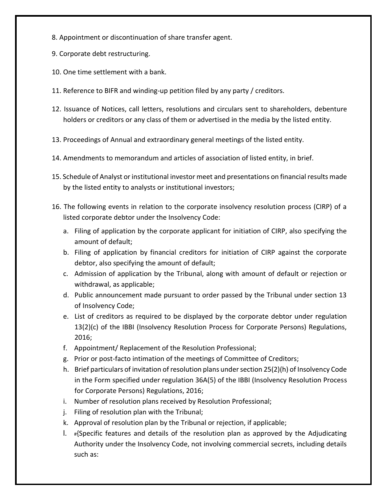- 8. Appointment or discontinuation of share transfer agent.
- 9. Corporate debt restructuring.
- 10. One time settlement with a bank.
- 11. Reference to BIFR and winding-up petition filed by any party / creditors.
- 12. Issuance of Notices, call letters, resolutions and circulars sent to shareholders, debenture holders or creditors or any class of them or advertised in the media by the listed entity.
- 13. Proceedings of Annual and extraordinary general meetings of the listed entity.
- 14. Amendments to memorandum and articles of association of listed entity, in brief.
- 15. Schedule of Analyst or institutional investor meet and presentations on financial results made by the listed entity to analysts or institutional investors;
- 16. The following events in relation to the corporate insolvency resolution process (CIRP) of a listed corporate debtor under the Insolvency Code:
	- a. Filing of application by the corporate applicant for initiation of CIRP, also specifying the amount of default;
	- b. Filing of application by financial creditors for initiation of CIRP against the corporate debtor, also specifying the amount of default;
	- c. Admission of application by the Tribunal, along with amount of default or rejection or withdrawal, as applicable;
	- d. Public announcement made pursuant to order passed by the Tribunal under section 13 of Insolvency Code;
	- e. List of creditors as required to be displayed by the corporate debtor under regulation 13(2)(c) of the IBBI (Insolvency Resolution Process for Corporate Persons) Regulations, 2016;
	- f. Appointment/ Replacement of the Resolution Professional;
	- g. Prior or post-facto intimation of the meetings of Committee of Creditors;
	- h. Brief particulars of invitation of resolution plans under section 25(2)(h) of Insolvency Code in the Form specified under regulation 36A(5) of the IBBI (Insolvency Resolution Process for Corporate Persons) Regulations, 2016;
	- i. Number of resolution plans received by Resolution Professional;
	- j. Filing of resolution plan with the Tribunal;
	- k. Approval of resolution plan by the Tribunal or rejection, if applicable;
	- 1.  $#$ Specific features and details of the resolution plan as approved by the Adjudicating Authority under the Insolvency Code, not involving commercial secrets, including details such as: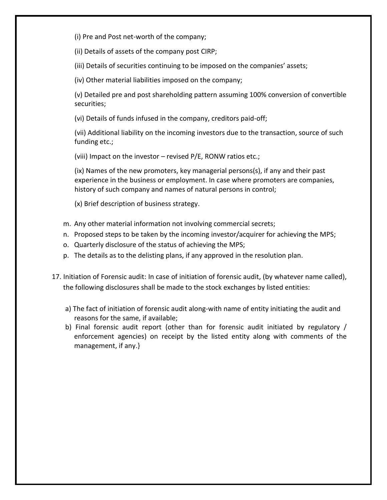(i) Pre and Post net-worth of the company;

(ii) Details of assets of the company post CIRP;

(iii) Details of securities continuing to be imposed on the companies' assets;

(iv) Other material liabilities imposed on the company;

(v) Detailed pre and post shareholding pattern assuming 100% conversion of convertible securities;

(vi) Details of funds infused in the company, creditors paid-off;

(vii) Additional liability on the incoming investors due to the transaction, source of such funding etc.;

(viii) Impact on the investor – revised P/E, RONW ratios etc.;

(ix) Names of the new promoters, key managerial persons(s), if any and their past experience in the business or employment. In case where promoters are companies, history of such company and names of natural persons in control;

(x) Brief description of business strategy.

- m. Any other material information not involving commercial secrets;
- n. Proposed steps to be taken by the incoming investor/acquirer for achieving the MPS;
- o. Quarterly disclosure of the status of achieving the MPS;
- p. The details as to the delisting plans, if any approved in the resolution plan.
- 17. Initiation of Forensic audit: In case of initiation of forensic audit, (by whatever name called), the following disclosures shall be made to the stock exchanges by listed entities:
	- a) The fact of initiation of forensic audit along-with name of entity initiating the audit and reasons for the same, if available;
	- b) Final forensic audit report (other than for forensic audit initiated by regulatory / enforcement agencies) on receipt by the listed entity along with comments of the management, if any.}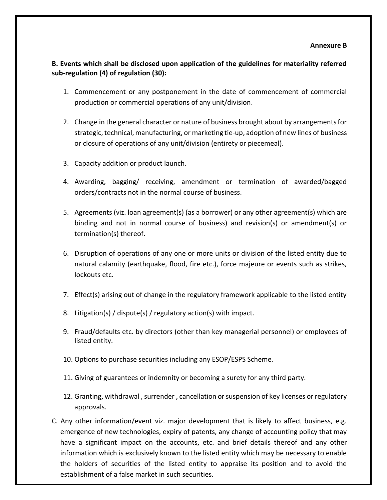### **Annexure B**

# **B. Events which shall be disclosed upon application of the guidelines for materiality referred sub-regulation (4) of regulation (30):**

- 1. Commencement or any postponement in the date of commencement of commercial production or commercial operations of any unit/division.
- 2. Change in the general character or nature of business brought about by arrangements for strategic, technical, manufacturing, or marketing tie-up, adoption of new lines of business or closure of operations of any unit/division (entirety or piecemeal).
- 3. Capacity addition or product launch.
- 4. Awarding, bagging/ receiving, amendment or termination of awarded/bagged orders/contracts not in the normal course of business.
- 5. Agreements (viz. loan agreement(s) (as a borrower) or any other agreement(s) which are binding and not in normal course of business) and revision(s) or amendment(s) or termination(s) thereof.
- 6. Disruption of operations of any one or more units or division of the listed entity due to natural calamity (earthquake, flood, fire etc.), force majeure or events such as strikes, lockouts etc.
- 7. Effect(s) arising out of change in the regulatory framework applicable to the listed entity
- 8. Litigation(s) / dispute(s) / regulatory action(s) with impact.
- 9. Fraud/defaults etc. by directors (other than key managerial personnel) or employees of listed entity.
- 10. Options to purchase securities including any ESOP/ESPS Scheme.
- 11. Giving of guarantees or indemnity or becoming a surety for any third party.
- 12. Granting, withdrawal , surrender , cancellation or suspension of key licenses or regulatory approvals.
- C. Any other information/event viz. major development that is likely to affect business, e.g. emergence of new technologies, expiry of patents, any change of accounting policy that may have a significant impact on the accounts, etc. and brief details thereof and any other information which is exclusively known to the listed entity which may be necessary to enable the holders of securities of the listed entity to appraise its position and to avoid the establishment of a false market in such securities.